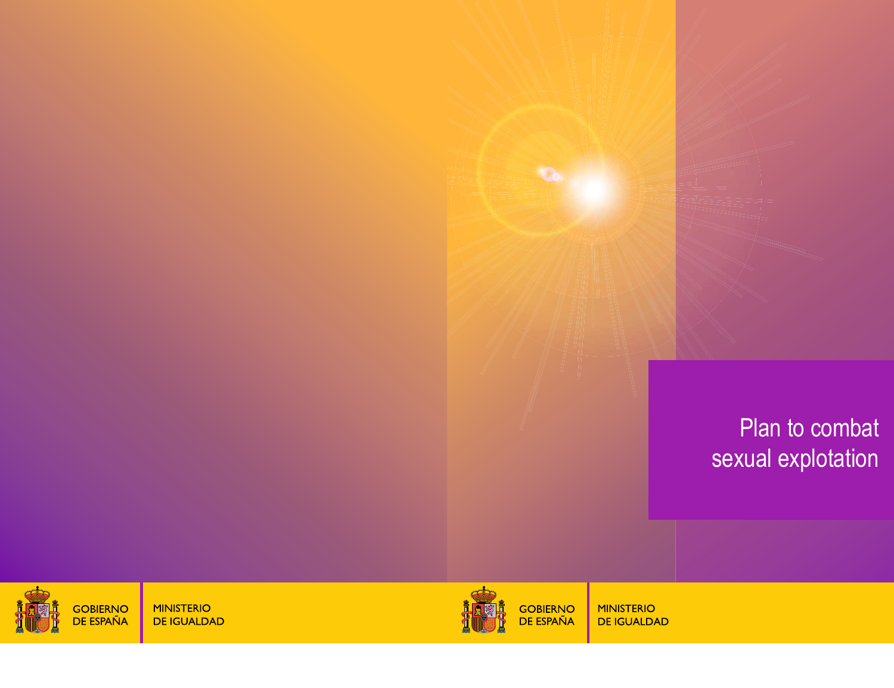# Plan to combat sexual explotation



GOBIERNO<br>DE ESPAÑA

**MINISTERIO DE IGUALDAD**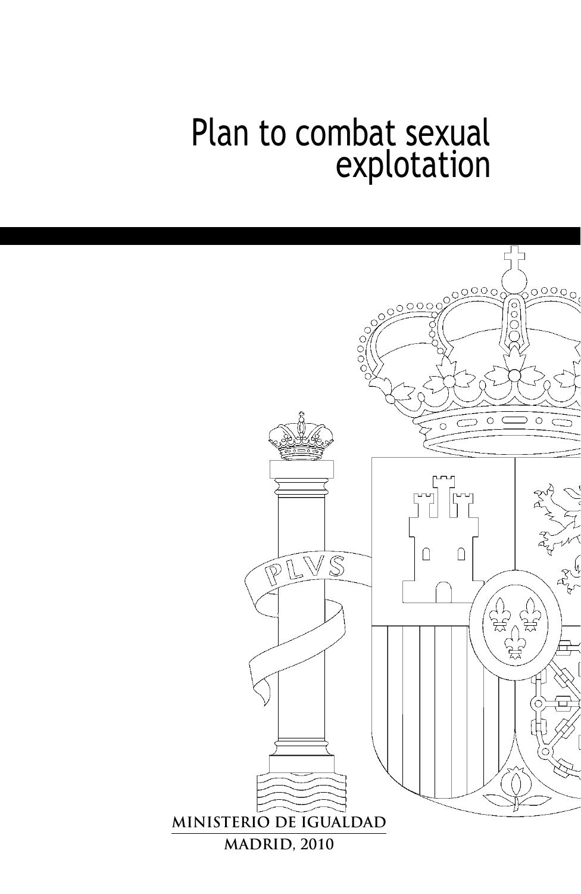# Plan to combat sexual explotation

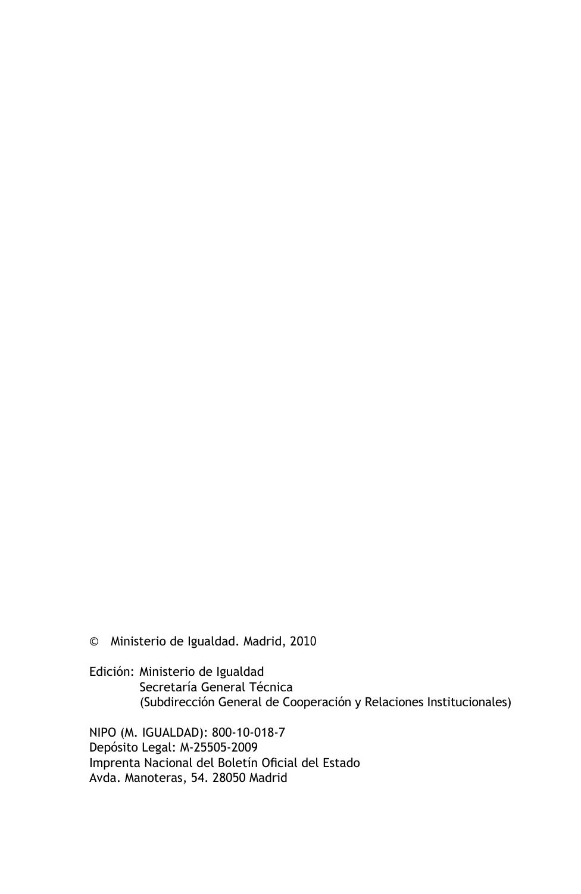© Ministerio de Igualdad. Madrid, 2010

Edición: Ministerio de Igualdad Secretaría General Técnica (Subdirección General de Cooperación y Relaciones Institucionales)

NIPO (M. IGUALDAD): 800-10-018-7 Depósito Legal: M-25505-2009 Imprenta Nacional del Boletín Oficial del Estado Avda. Manoteras, 54. 28050 Madrid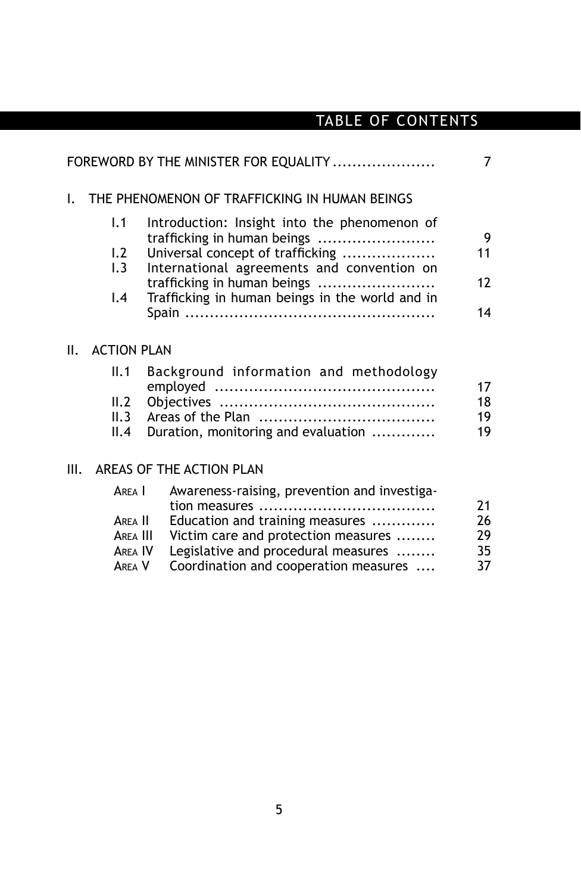# TABLE OF CONTENTS

|    |                                                    | FOREWORD BY THE MINISTER FOR EQUALITY                                                                                                                                                                                                           | $\overline{7}$             |
|----|----------------------------------------------------|-------------------------------------------------------------------------------------------------------------------------------------------------------------------------------------------------------------------------------------------------|----------------------------|
| I. | THE PHENOMENON OF TRAFFICKING IN HUMAN BEINGS      |                                                                                                                                                                                                                                                 |                            |
|    | 1.1<br>1.2<br>1.3<br>$\mathsf{I}$ .4               | Introduction: Insight into the phenomenon of<br>trafficking in human beings<br>Universal concept of trafficking<br>International agreements and convention on<br>trafficking in human beings<br>Trafficking in human beings in the world and in | 9<br>11<br>12<br>14        |
| Ш. | <b>ACTION PLAN</b>                                 |                                                                                                                                                                                                                                                 |                            |
|    | II.1                                               | Background information and methodology                                                                                                                                                                                                          | 17                         |
|    | II.2<br>II.3<br>II.4                               | Duration, monitoring and evaluation                                                                                                                                                                                                             | 18<br>19<br>19             |
| Ш. |                                                    | AREAS OF THE ACTION PLAN                                                                                                                                                                                                                        |                            |
|    | AREA I<br>ARFA II<br>AREA III<br>AREA IV<br>ARFA V | Awareness-raising, prevention and investiga-<br>Education and training measures<br>Victim care and protection measures<br>Legislative and procedural measures<br>Coordination and cooperation measures                                          | 21<br>26<br>29<br>35<br>37 |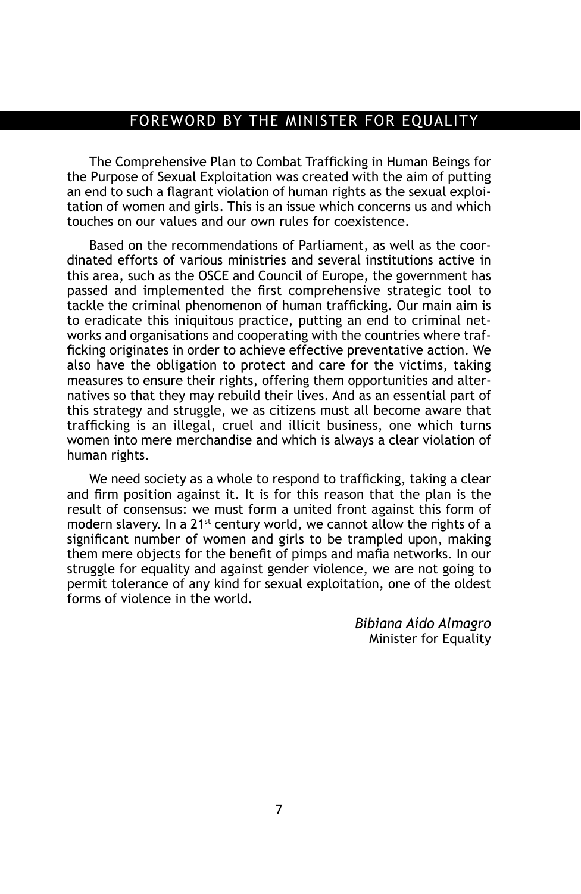#### foreword by the minister for equality

The Comprehensive Plan to Combat Trafficking in Human Beings for the Purpose of Sexual Exploitation was created with the aim of putting an end to such a flagrant violation of human rights as the sexual exploitation of women and girls. This is an issue which concerns us and which touches on our values and our own rules for coexistence.

Based on the recommendations of Parliament, as well as the coordinated efforts of various ministries and several institutions active in this area, such as the OSCE and Council of Europe, the government has passed and implemented the first comprehensive strategic tool to tackle the criminal phenomenon of human trafficking. Our main aim is to eradicate this iniquitous practice, putting an end to criminal networks and organisations and cooperating with the countries where trafficking originates in order to achieve effective preventative action. We also have the obligation to protect and care for the victims, taking measures to ensure their rights, offering them opportunities and alternatives so that they may rebuild their lives. And as an essential part of this strategy and struggle, we as citizens must all become aware that trafficking is an illegal, cruel and illicit business, one which turns women into mere merchandise and which is always a clear violation of human rights.

We need society as a whole to respond to trafficking, taking a clear and firm position against it. It is for this reason that the plan is the result of consensus: we must form a united front against this form of modern slavery. In a 21st century world, we cannot allow the rights of a significant number of women and girls to be trampled upon, making them mere objects for the benefit of pimps and mafia networks. In our struggle for equality and against gender violence, we are not going to permit tolerance of any kind for sexual exploitation, one of the oldest forms of violence in the world.

> *Bibiana Aído Almagro*  Minister for Equality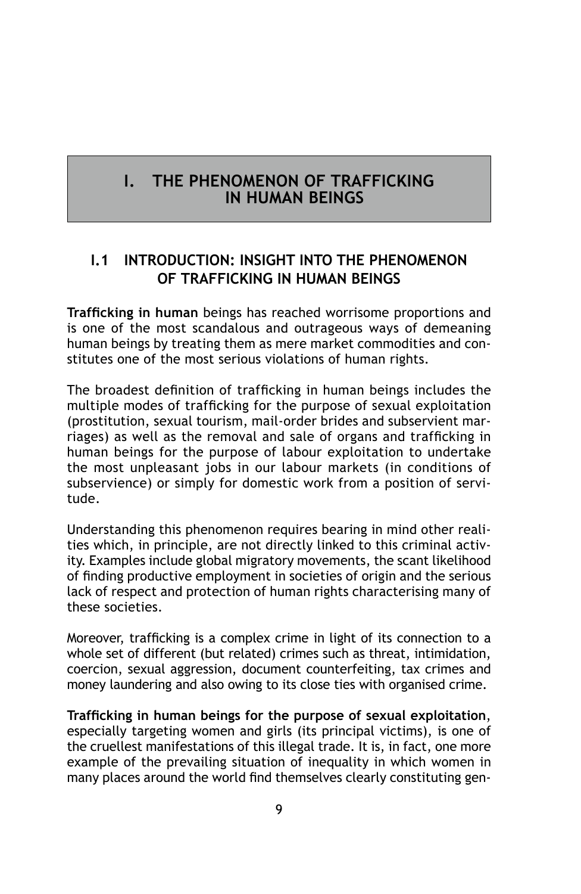## **I. THE PHENOMENON OF TRAFFICKING IN HUMAN BEINGS**

## **I.1 Introduction: Insight into the phenomenon of trafficking in human beings**

**Trafficking in human** beings has reached worrisome proportions and is one of the most scandalous and outrageous ways of demeaning human beings by treating them as mere market commodities and constitutes one of the most serious violations of human rights.

The broadest definition of trafficking in human beings includes the multiple modes of trafficking for the purpose of sexual exploitation (prostitution, sexual tourism, mail-order brides and subservient marriages) as well as the removal and sale of organs and trafficking in human beings for the purpose of labour exploitation to undertake the most unpleasant jobs in our labour markets (in conditions of subservience) or simply for domestic work from a position of servitude.

Understanding this phenomenon requires bearing in mind other realities which, in principle, are not directly linked to this criminal activity. Examples include global migratory movements, the scant likelihood of finding productive employment in societies of origin and the serious lack of respect and protection of human rights characterising many of these societies.

Moreover, trafficking is a complex crime in light of its connection to a whole set of different (but related) crimes such as threat, intimidation, coercion, sexual aggression, document counterfeiting, tax crimes and money laundering and also owing to its close ties with organised crime.

**Trafficking in human beings for the purpose of sexual exploitation**, especially targeting women and girls (its principal victims), is one of the cruellest manifestations of this illegal trade. It is, in fact, one more example of the prevailing situation of inequality in which women in many places around the world find themselves clearly constituting gen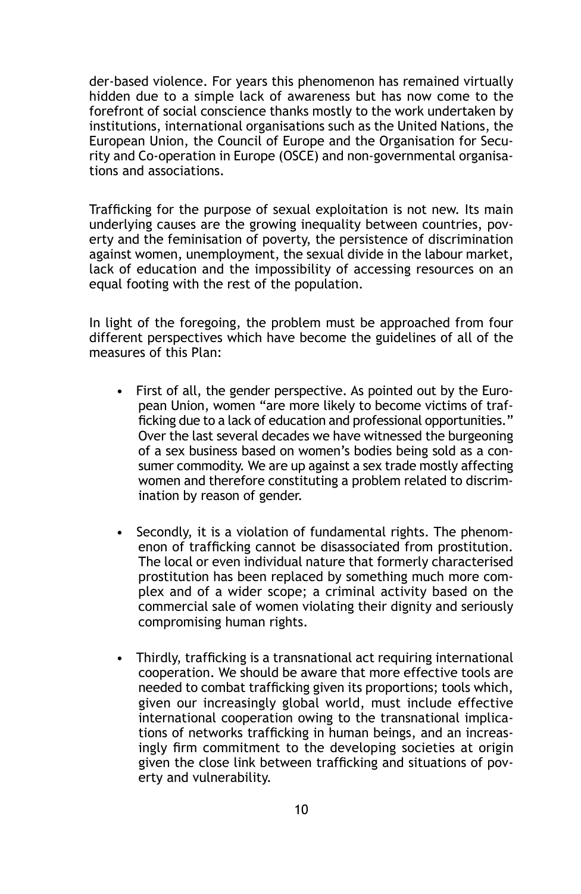der-based violence. For years this phenomenon has remained virtually hidden due to a simple lack of awareness but has now come to the forefront of social conscience thanks mostly to the work undertaken by institutions, international organisations such as the United Nations, the European Union, the Council of Europe and the Organisation for Security and Co-operation in Europe (OSCE) and non-governmental organisations and associations.

Trafficking for the purpose of sexual exploitation is not new. Its main underlying causes are the growing inequality between countries, poverty and the feminisation of poverty, the persistence of discrimination against women, unemployment, the sexual divide in the labour market, lack of education and the impossibility of accessing resources on an equal footing with the rest of the population.

In light of the foregoing, the problem must be approached from four different perspectives which have become the guidelines of all of the measures of this Plan:

- First of all, the gender perspective. As pointed out by the European Union, women "are more likely to become victims of trafficking due to a lack of education and professional opportunities." Over the last several decades we have witnessed the burgeoning of a sex business based on women's bodies being sold as a consumer commodity. We are up against a sex trade mostly affecting women and therefore constituting a problem related to discrimination by reason of gender.
- Secondly, it is a violation of fundamental rights. The phenomenon of trafficking cannot be disassociated from prostitution. The local or even individual nature that formerly characterised prostitution has been replaced by something much more complex and of a wider scope; a criminal activity based on the commercial sale of women violating their dignity and seriously compromising human rights.
- Thirdly, trafficking is a transnational act requiring international cooperation. We should be aware that more effective tools are needed to combat trafficking given its proportions; tools which, given our increasingly global world, must include effective international cooperation owing to the transnational implications of networks trafficking in human beings, and an increasingly firm commitment to the developing societies at origin given the close link between trafficking and situations of poverty and vulnerability.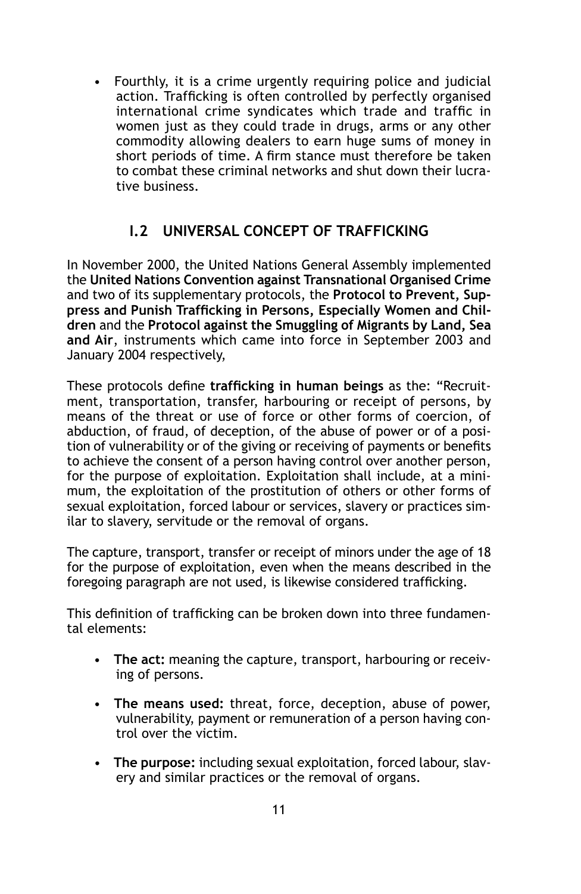• Fourthly, it is a crime urgently requiring police and judicial action. Trafficking is often controlled by perfectly organised international crime syndicates which trade and traffic in women just as they could trade in drugs, arms or any other commodity allowing dealers to earn huge sums of money in short periods of time. A firm stance must therefore be taken to combat these criminal networks and shut down their lucrative business.

## **I.2 Universal concept of trafficking**

In November 2000, the United Nations General Assembly implemented the **United Nations Convention against Transnational Organised Crime** and two of its supplementary protocols, the **Protocol to Prevent, Suppress and Punish Trafficking in Persons, Especially Women and Children** and the **Protocol against the Smuggling of Migrants by Land, Sea and Air**, instruments which came into force in September 2003 and January 2004 respectively,

These protocols define **trafficking in human beings** as the: "Recruitment, transportation, transfer, harbouring or receipt of persons, by means of the threat or use of force or other forms of coercion, of abduction, of fraud, of deception, of the abuse of power or of a position of vulnerability or of the giving or receiving of payments or benefits to achieve the consent of a person having control over another person, for the purpose of exploitation. Exploitation shall include, at a minimum, the exploitation of the prostitution of others or other forms of sexual exploitation, forced labour or services, slavery or practices similar to slavery, servitude or the removal of organs.

The capture, transport, transfer or receipt of minors under the age of 18 for the purpose of exploitation, even when the means described in the foregoing paragraph are not used, is likewise considered trafficking.

This definition of trafficking can be broken down into three fundamental elements:

- **The act:** meaning the capture, transport, harbouring or receiving of persons.
- **The means used:** threat, force, deception, abuse of power, vulnerability, payment or remuneration of a person having control over the victim.
- **The purpose:** including sexual exploitation, forced labour, slavery and similar practices or the removal of organs.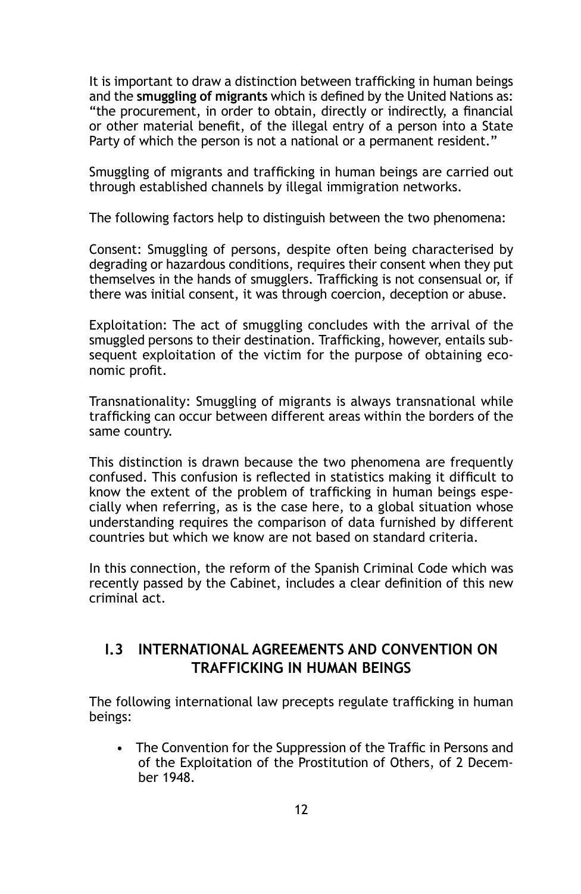It is important to draw a distinction between trafficking in human beings and the **smuggling of migrants** which is defined by the United Nations as: "the procurement, in order to obtain, directly or indirectly, a financial or other material benefit, of the illegal entry of a person into a State Party of which the person is not a national or a permanent resident."

Smuggling of migrants and trafficking in human beings are carried out through established channels by illegal immigration networks.

The following factors help to distinguish between the two phenomena:

Consent: Smuggling of persons, despite often being characterised by degrading or hazardous conditions, requires their consent when they put themselves in the hands of smugglers. Trafficking is not consensual or, if there was initial consent, it was through coercion, deception or abuse.

Exploitation: The act of smuggling concludes with the arrival of the smuggled persons to their destination. Trafficking, however, entails subsequent exploitation of the victim for the purpose of obtaining economic profit.

Transnationality: Smuggling of migrants is always transnational while trafficking can occur between different areas within the borders of the same country.

This distinction is drawn because the two phenomena are frequently confused. This confusion is reflected in statistics making it difficult to know the extent of the problem of trafficking in human beings especially when referring, as is the case here, to a global situation whose understanding requires the comparison of data furnished by different countries but which we know are not based on standard criteria.

In this connection, the reform of the Spanish Criminal Code which was recently passed by the Cabinet, includes a clear definition of this new criminal act.

## **I.3 International agreements and convention on trafficking in human beings**

The following international law precepts regulate trafficking in human beings:

• The Convention for the Suppression of the Traffic in Persons and of the Exploitation of the Prostitution of Others, of 2 December 1948.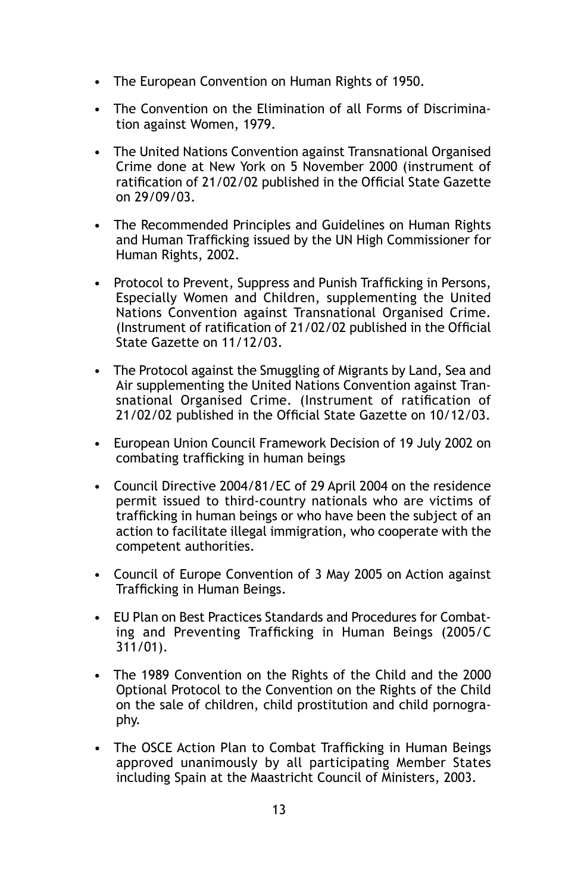- The European Convention on Human Rights of 1950.
- The Convention on the Elimination of all Forms of Discrimination against Women, 1979.
- The United Nations Convention against Transnational Organised Crime done at New York on 5 November 2000 (instrument of ratification of 21/02/02 published in the Official State Gazette on 29/09/03.
- The Recommended Principles and Guidelines on Human Rights and Human Trafficking issued by the UN High Commissioner for Human Rights, 2002.
- Protocol to Prevent, Suppress and Punish Trafficking in Persons, Especially Women and Children, supplementing the United Nations Convention against Transnational Organised Crime. (Instrument of ratification of 21/02/02 published in the Official State Gazette on 11/12/03.
- The Protocol against the Smuggling of Migrants by Land, Sea and Air supplementing the United Nations Convention against Transnational Organised Crime. (Instrument of ratification of 21/02/02 published in the Official State Gazette on 10/12/03.
- European Union Council Framework Decision of 19 July 2002 on combating trafficking in human beings
- Council Directive 2004/81/EC of 29 April 2004 on the residence permit issued to third-country nationals who are victims of trafficking in human beings or who have been the subject of an action to facilitate illegal immigration, who cooperate with the competent authorities.
- Council of Europe Convention of 3 May 2005 on Action against Trafficking in Human Beings.
- EU Plan on Best Practices Standards and Procedures for Combating and Preventing Trafficking in Human Beings (2005/C 311/01).
- The 1989 Convention on the Rights of the Child and the 2000 Optional Protocol to the Convention on the Rights of the Child on the sale of children, child prostitution and child pornography.
- The OSCE Action Plan to Combat Trafficking in Human Beings approved unanimously by all participating Member States including Spain at the Maastricht Council of Ministers, 2003.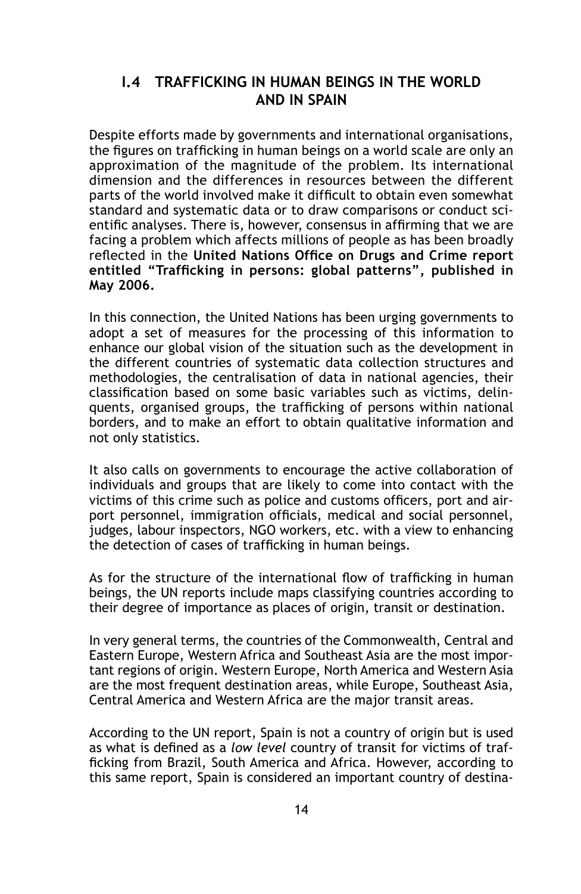## **I.4 Trafficking in human beings in the world and in Spain**

Despite efforts made by governments and international organisations, the figures on trafficking in human beings on a world scale are only an approximation of the magnitude of the problem. Its international dimension and the differences in resources between the different parts of the world involved make it difficult to obtain even somewhat standard and systematic data or to draw comparisons or conduct scientific analyses. There is, however, consensus in affirming that we are facing a problem which affects millions of people as has been broadly reflected in the **United Nations Office on Drugs and Crime report entitled "Trafficking in persons: global patterns", published in May 2006.**

In this connection, the United Nations has been urging governments to adopt a set of measures for the processing of this information to enhance our global vision of the situation such as the development in the different countries of systematic data collection structures and methodologies, the centralisation of data in national agencies, their classification based on some basic variables such as victims, delinquents, organised groups, the trafficking of persons within national borders, and to make an effort to obtain qualitative information and not only statistics.

It also calls on governments to encourage the active collaboration of individuals and groups that are likely to come into contact with the victims of this crime such as police and customs officers, port and airport personnel, immigration officials, medical and social personnel, judges, labour inspectors, NGO workers, etc. with a view to enhancing the detection of cases of trafficking in human beings.

As for the structure of the international flow of trafficking in human beings, the UN reports include maps classifying countries according to their degree of importance as places of origin, transit or destination.

In very general terms, the countries of the Commonwealth, Central and Eastern Europe, Western Africa and Southeast Asia are the most important regions of origin. Western Europe, North America and Western Asia are the most frequent destination areas, while Europe, Southeast Asia, Central America and Western Africa are the major transit areas.

According to the UN report, Spain is not a country of origin but is used as what is defined as a *low level* country of transit for victims of trafficking from Brazil, South America and Africa. However, according to this same report, Spain is considered an important country of destina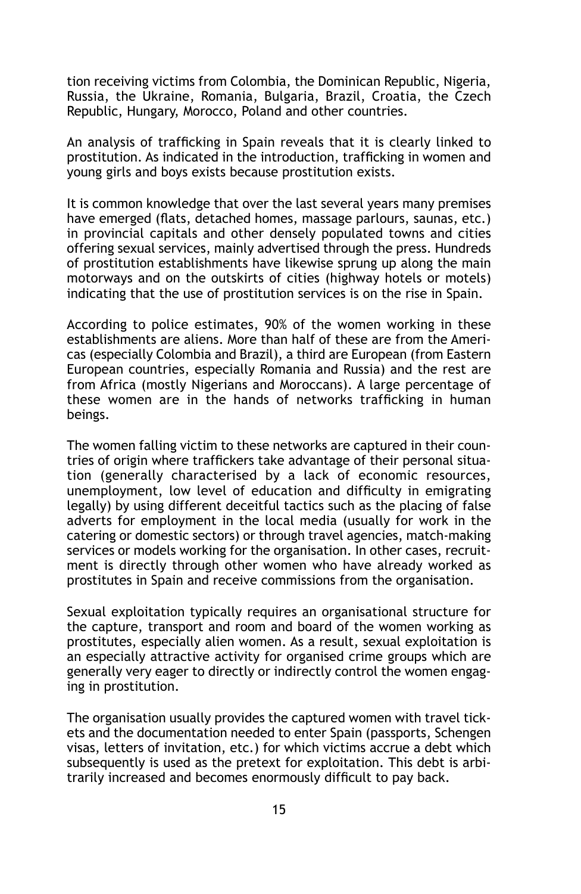tion receiving victims from Colombia, the Dominican Republic, Nigeria, Russia, the Ukraine, Romania, Bulgaria, Brazil, Croatia, the Czech Republic, Hungary, Morocco, Poland and other countries.

An analysis of trafficking in Spain reveals that it is clearly linked to prostitution. As indicated in the introduction, trafficking in women and young girls and boys exists because prostitution exists.

It is common knowledge that over the last several years many premises have emerged (flats, detached homes, massage parlours, saunas, etc.) in provincial capitals and other densely populated towns and cities offering sexual services, mainly advertised through the press. Hundreds of prostitution establishments have likewise sprung up along the main motorways and on the outskirts of cities (highway hotels or motels) indicating that the use of prostitution services is on the rise in Spain.

According to police estimates, 90% of the women working in these establishments are aliens. More than half of these are from the Americas (especially Colombia and Brazil), a third are European (from Eastern European countries, especially Romania and Russia) and the rest are from Africa (mostly Nigerians and Moroccans). A large percentage of these women are in the hands of networks trafficking in human beings.

The women falling victim to these networks are captured in their countries of origin where traffickers take advantage of their personal situation (generally characterised by a lack of economic resources, unemployment, low level of education and difficulty in emigrating legally) by using different deceitful tactics such as the placing of false adverts for employment in the local media (usually for work in the catering or domestic sectors) or through travel agencies, match-making services or models working for the organisation. In other cases, recruitment is directly through other women who have already worked as prostitutes in Spain and receive commissions from the organisation.

Sexual exploitation typically requires an organisational structure for the capture, transport and room and board of the women working as prostitutes, especially alien women. As a result, sexual exploitation is an especially attractive activity for organised crime groups which are generally very eager to directly or indirectly control the women engaging in prostitution.

The organisation usually provides the captured women with travel tickets and the documentation needed to enter Spain (passports, Schengen visas, letters of invitation, etc.) for which victims accrue a debt which subsequently is used as the pretext for exploitation. This debt is arbitrarily increased and becomes enormously difficult to pay back.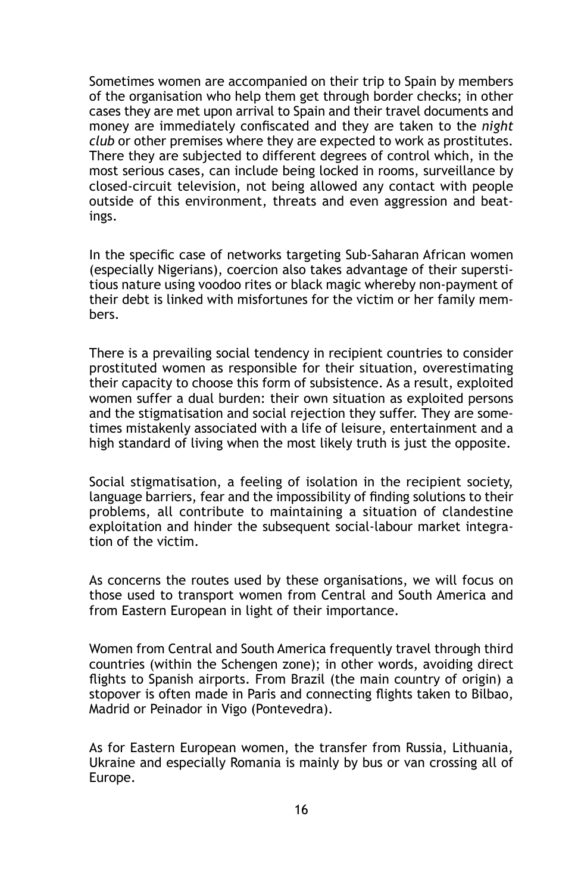Sometimes women are accompanied on their trip to Spain by members of the organisation who help them get through border checks; in other cases they are met upon arrival to Spain and their travel documents and money are immediately confiscated and they are taken to the *night club* or other premises where they are expected to work as prostitutes. There they are subjected to different degrees of control which, in the most serious cases, can include being locked in rooms, surveillance by closed-circuit television, not being allowed any contact with people outside of this environment, threats and even aggression and beatings.

In the specific case of networks targeting Sub-Saharan African women (especially Nigerians), coercion also takes advantage of their superstitious nature using voodoo rites or black magic whereby non-payment of their debt is linked with misfortunes for the victim or her family members.

There is a prevailing social tendency in recipient countries to consider prostituted women as responsible for their situation, overestimating their capacity to choose this form of subsistence. As a result, exploited women suffer a dual burden: their own situation as exploited persons and the stigmatisation and social rejection they suffer. They are sometimes mistakenly associated with a life of leisure, entertainment and a high standard of living when the most likely truth is just the opposite.

Social stigmatisation, a feeling of isolation in the recipient society, language barriers, fear and the impossibility of finding solutions to their problems, all contribute to maintaining a situation of clandestine exploitation and hinder the subsequent social-labour market integration of the victim.

As concerns the routes used by these organisations, we will focus on those used to transport women from Central and South America and from Eastern European in light of their importance.

Women from Central and South America frequently travel through third countries (within the Schengen zone); in other words, avoiding direct flights to Spanish airports. From Brazil (the main country of origin) a stopover is often made in Paris and connecting flights taken to Bilbao, Madrid or Peinador in Vigo (Pontevedra).

As for Eastern European women, the transfer from Russia, Lithuania, Ukraine and especially Romania is mainly by bus or van crossing all of Europe.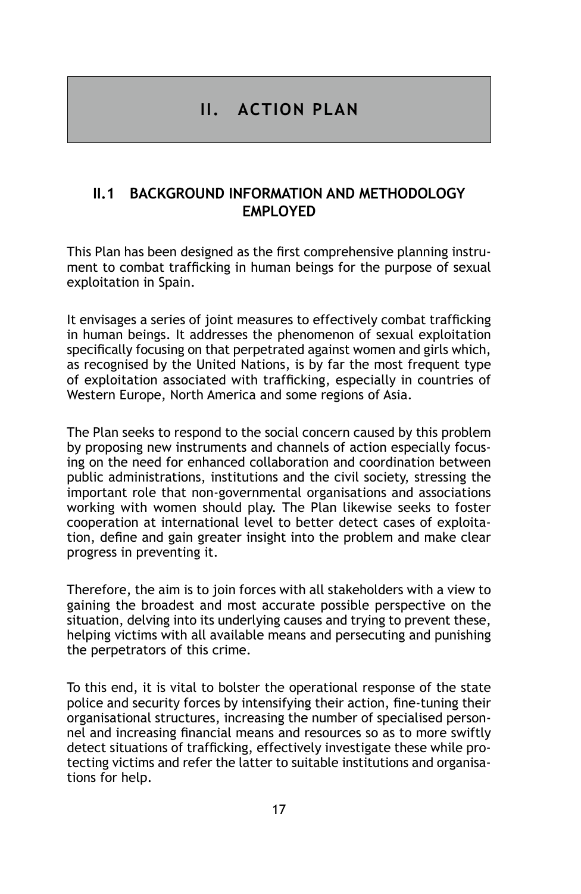## **II. ACTION PLAN**

## **II.1 Background information and methodology EMPI OYED**

This Plan has been designed as the first comprehensive planning instrument to combat trafficking in human beings for the purpose of sexual exploitation in Spain.

It envisages a series of joint measures to effectively combat trafficking in human beings. It addresses the phenomenon of sexual exploitation specifically focusing on that perpetrated against women and girls which, as recognised by the United Nations, is by far the most frequent type of exploitation associated with trafficking, especially in countries of Western Europe, North America and some regions of Asia.

The Plan seeks to respond to the social concern caused by this problem by proposing new instruments and channels of action especially focusing on the need for enhanced collaboration and coordination between public administrations, institutions and the civil society, stressing the important role that non-governmental organisations and associations working with women should play. The Plan likewise seeks to foster cooperation at international level to better detect cases of exploitation, define and gain greater insight into the problem and make clear progress in preventing it.

Therefore, the aim is to join forces with all stakeholders with a view to gaining the broadest and most accurate possible perspective on the situation, delving into its underlying causes and trying to prevent these, helping victims with all available means and persecuting and punishing the perpetrators of this crime.

To this end, it is vital to bolster the operational response of the state police and security forces by intensifying their action, fine-tuning their organisational structures, increasing the number of specialised personnel and increasing financial means and resources so as to more swiftly detect situations of trafficking, effectively investigate these while protecting victims and refer the latter to suitable institutions and organisations for help.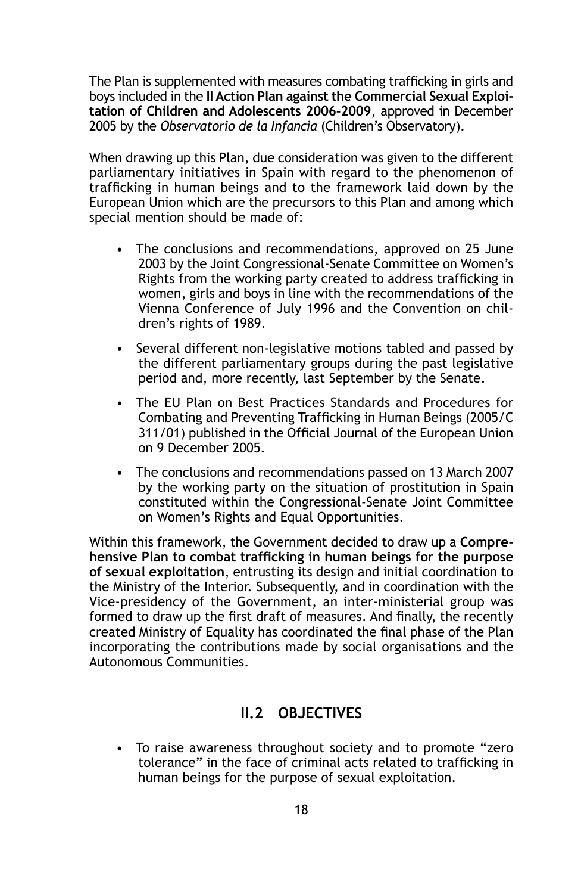The Plan is supplemented with measures combating trafficking in girls and boys included in the **II Action Plan against the Commercial Sexual Exploitation of Children and Adolescents 2006-2009**, approved in December 2005 by the *Observatorio de la Infancia* (Children's Observatory).

When drawing up this Plan, due consideration was given to the different parliamentary initiatives in Spain with regard to the phenomenon of trafficking in human beings and to the framework laid down by the European Union which are the precursors to this Plan and among which special mention should be made of:

- The conclusions and recommendations, approved on 25 June 2003 by the Joint Congressional-Senate Committee on Women's Rights from the working party created to address trafficking in women, girls and boys in line with the recommendations of the Vienna Conference of July 1996 and the Convention on children's rights of 1989.
- Several different non-legislative motions tabled and passed by the different parliamentary groups during the past legislative period and, more recently, last September by the Senate.
- The EU Plan on Best Practices Standards and Procedures for Combating and Preventing Trafficking in Human Beings (2005/C 311/01) published in the Official Journal of the European Union on 9 December 2005.
- The conclusions and recommendations passed on 13 March 2007 by the working party on the situation of prostitution in Spain constituted within the Congressional-Senate Joint Committee on Women's Rights and Equal Opportunities.

Within this framework, the Government decided to draw up a **Comprehensive Plan to combat trafficking in human beings for the purpose of sexual exploitation**, entrusting its design and initial coordination to the Ministry of the Interior. Subsequently, and in coordination with the Vice-presidency of the Government, an inter-ministerial group was formed to draw up the first draft of measures. And finally, the recently created Ministry of Equality has coordinated the final phase of the Plan incorporating the contributions made by social organisations and the Autonomous Communities.

## **II.2 Objectives**

• To raise awareness throughout society and to promote "zero tolerance" in the face of criminal acts related to trafficking in human beings for the purpose of sexual exploitation.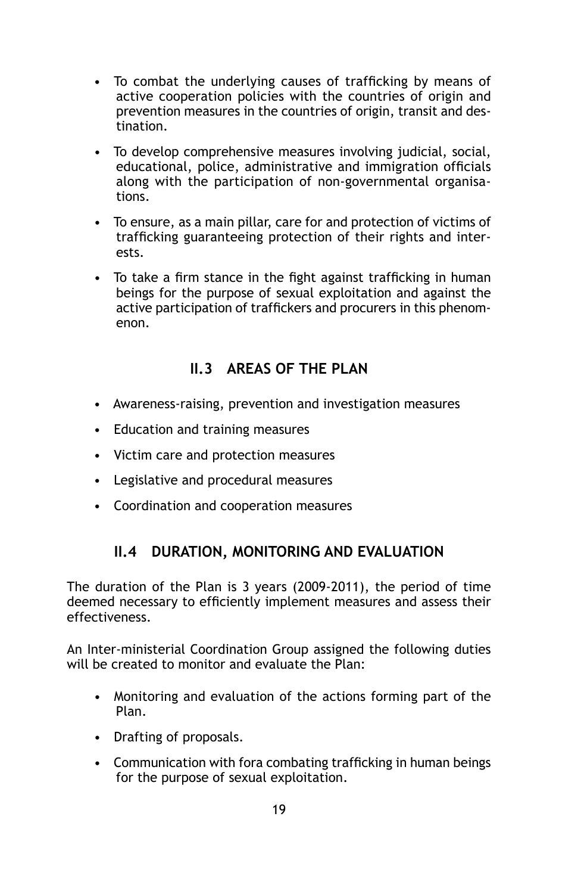- To combat the underlying causes of trafficking by means of active cooperation policies with the countries of origin and prevention measures in the countries of origin, transit and destination.
- To develop comprehensive measures involving judicial, social, educational, police, administrative and immigration officials along with the participation of non-governmental organisations.
- To ensure, as a main pillar, care for and protection of victims of trafficking guaranteeing protection of their rights and interests.
- To take a firm stance in the fight against trafficking in human beings for the purpose of sexual exploitation and against the active participation of traffickers and procurers in this phenomenon.

## **II.3 Areas of the Plan**

- Awareness-raising, prevention and investigation measures
- Education and training measures
- Victim care and protection measures
- Legislative and procedural measures
- Coordination and cooperation measures

## **II.4 Duration, monitoring and evaluation**

The duration of the Plan is 3 years (2009-2011), the period of time deemed necessary to efficiently implement measures and assess their effectiveness.

An Inter-ministerial Coordination Group assigned the following duties will be created to monitor and evaluate the Plan:

- Monitoring and evaluation of the actions forming part of the Plan.
- Drafting of proposals.
- Communication with fora combating trafficking in human beings for the purpose of sexual exploitation.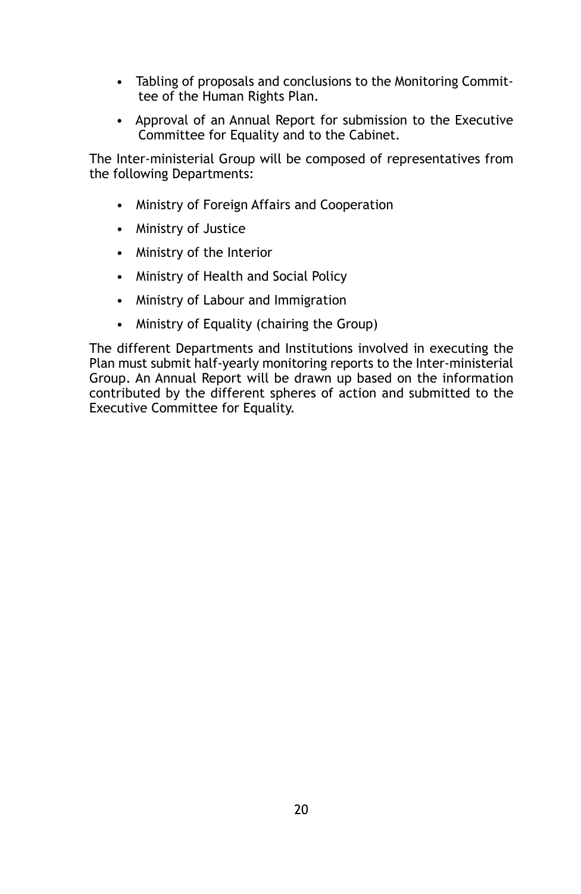- Tabling of proposals and conclusions to the Monitoring Committee of the Human Rights Plan.
- Approval of an Annual Report for submission to the Executive Committee for Equality and to the Cabinet.

The Inter-ministerial Group will be composed of representatives from the following Departments:

- Ministry of Foreign Affairs and Cooperation
- Ministry of Justice
- Ministry of the Interior
- Ministry of Health and Social Policy
- Ministry of Labour and Immigration
- Ministry of Equality (chairing the Group)

The different Departments and Institutions involved in executing the Plan must submit half-yearly monitoring reports to the Inter-ministerial Group. An Annual Report will be drawn up based on the information contributed by the different spheres of action and submitted to the Executive Committee for Equality.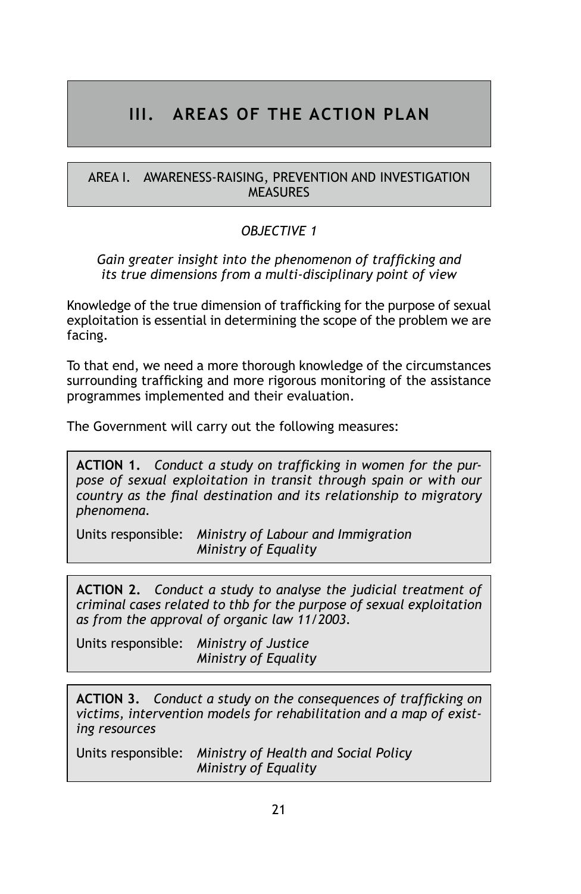## **III. AREAS OF THE ACTION PLAN**

#### AREA I. AWARENESS-RAISING, PREVENTION AND INVESTIGATION **MEASURES**

## *Objective 1*

#### *Gain greater insight into the phenomenon of trafficking and its true dimensions from a multi-disciplinary point of view*

Knowledge of the true dimension of trafficking for the purpose of sexual exploitation is essential in determining the scope of the problem we are facing.

To that end, we need a more thorough knowledge of the circumstances surrounding trafficking and more rigorous monitoring of the assistance programmes implemented and their evaluation.

The Government will carry out the following measures:

**ACTION 1.** *Conduct a study on trafficking in women for the purpose of sexual exploitation in transit through spain or with our country as the final destination and its relationship to migratory phenomena.*

Units responsible: *Ministry of Labour and Immigration Ministry of Equality*

**Action 2.** *Conduct a study to analyse the judicial treatment of criminal cases related to thb for the purpose of sexual exploitation as from the approval of organic law 11/2003.*

Units responsible: *Ministry of Justice Ministry of Equality*

**ACTION 3.** *Conduct a study on the consequences of trafficking on victims, intervention models for rehabilitation and a map of existing resources*

Units responsible: *Ministry of Health and Social Policy Ministry of Equality*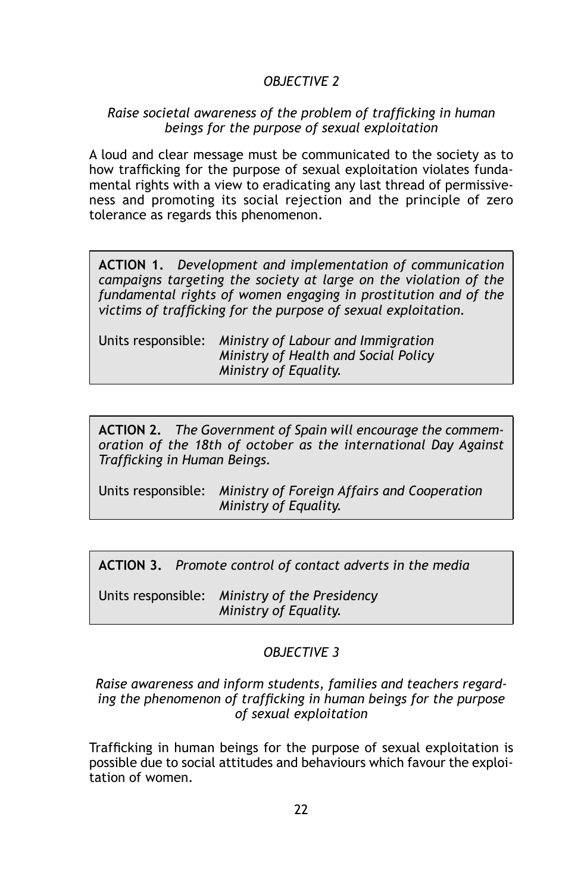## *Objective 2*

#### *Raise societal awareness of the problem of trafficking in human beings for the purpose of sexual exploitation*

A loud and clear message must be communicated to the society as to how trafficking for the purpose of sexual exploitation violates fundamental rights with a view to eradicating any last thread of permissiveness and promoting its social rejection and the principle of zero tolerance as regards this phenomenon.

**ACTION 1.** *Development and implementation of communication campaigns targeting the society at large on the violation of the fundamental rights of women engaging in prostitution and of the victims of trafficking for the purpose of sexual exploitation.*

| Units responsible: Ministry of Labour and Immigration |
|-------------------------------------------------------|
| Ministry of Health and Social Policy                  |
| Ministry of Equality.                                 |

**ACTION 2.** *The Government of Spain will encourage the commemoration of the 18th of october as the international Day Against Trafficking in Human Beings.* 

Units responsible: *Ministry of Foreign Affairs and Cooperation Ministry of Equality.*

**ACTION 3.** *Promote control of contact adverts in the media*

Units responsible: *Ministry of the Presidency Ministry of Equality.*

#### *OBJECTIVE 3*

#### *Raise awareness and inform students, families and teachers regarding the phenomenon of trafficking in human beings for the purpose of sexual exploitation*

Trafficking in human beings for the purpose of sexual exploitation is possible due to social attitudes and behaviours which favour the exploitation of women.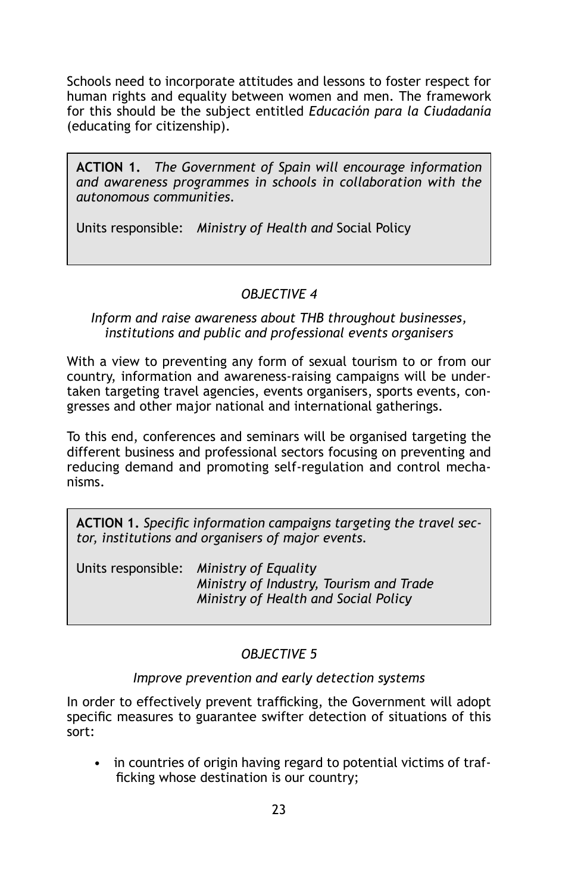Schools need to incorporate attitudes and lessons to foster respect for human rights and equality between women and men. The framework for this should be the subject entitled *Educación para la Ciudadanía* (educating for citizenship).

**ACTION 1.** *The Government of Spain will encourage information and awareness programmes in schools in collaboration with the autonomous communities.*

Units responsible: *Ministry of Health and* Social Policy

#### *Objective 4*

#### *Inform and raise awareness about THB throughout businesses, institutions and public and professional events organisers*

With a view to preventing any form of sexual tourism to or from our country, information and awareness-raising campaigns will be undertaken targeting travel agencies, events organisers, sports events, congresses and other major national and international gatherings.

To this end, conferences and seminars will be organised targeting the different business and professional sectors focusing on preventing and reducing demand and promoting self-regulation and control mechanisms.

**ACTION 1.** *Specific information campaigns targeting the travel sector, institutions and organisers of major events.*

Units responsible: *Ministry of Equality Ministry of Industry, Tourism and Trade Ministry of Health and Social Policy* 

## *Objective 5*

## *Improve prevention and early detection systems*

In order to effectively prevent trafficking, the Government will adopt specific measures to guarantee swifter detection of situations of this sort:

• in countries of origin having regard to potential victims of trafficking whose destination is our country;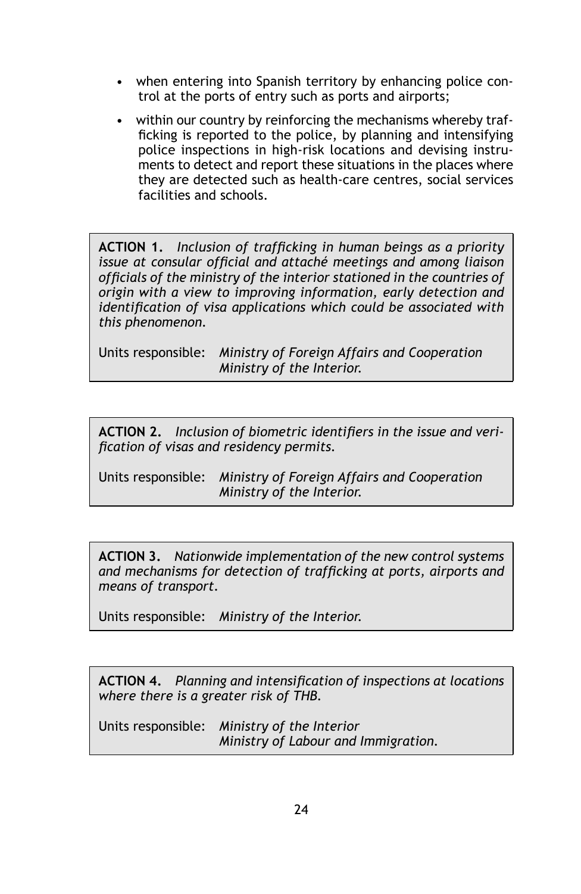- when entering into Spanish territory by enhancing police control at the ports of entry such as ports and airports;
- within our country by reinforcing the mechanisms whereby trafficking is reported to the police, by planning and intensifying police inspections in high-risk locations and devising instruments to detect and report these situations in the places where they are detected such as health-care centres, social services facilities and schools.

**ACTION 1.** *Inclusion of trafficking in human beings as a priority issue at consular official and attaché meetings and among liaison officials of the ministry of the interior stationed in the countries of origin with a view to improving information, early detection and identification of visa applications which could be associated with this phenomenon.*

Units responsible: *Ministry of Foreign Affairs and Cooperation Ministry of the Interior.*

**ACTION 2.** *Inclusion of biometric identifiers in the issue and verification of visas and residency permits.*

Units responsible: *Ministry of Foreign Affairs and Cooperation Ministry of the Interior.*

**ACTION 3.** *Nationwide implementation of the new control systems and mechanisms for detection of trafficking at ports, airports and means of transport.*

Units responsible: *Ministry of the Interior.*

**ACTION 4.** *Planning and intensification of inspections at locations where there is a greater risk of thb.*

Units responsible: *Ministry of the Interior Ministry of Labour and Immigration.*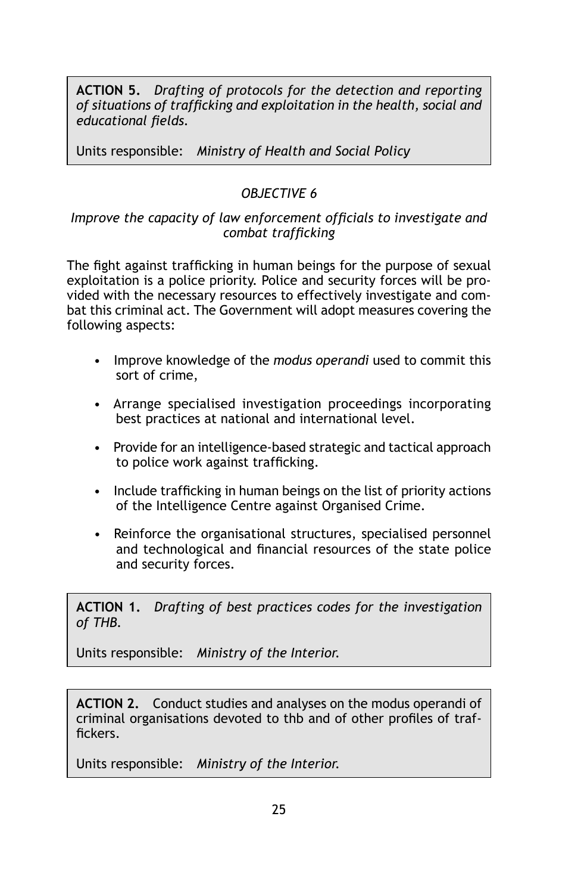**ACTION 5.** *Drafting of protocols for the detection and reporting of situations of trafficking and exploitation in the health, social and educational fields.*

Units responsible: *Ministry of Health and Social Policy* 

## *OBJECTIVE 6*

#### *Improve the capacity of law enforcement officials to investigate and combat trafficking*

The fight against trafficking in human beings for the purpose of sexual exploitation is a police priority. Police and security forces will be provided with the necessary resources to effectively investigate and combat this criminal act. The Government will adopt measures covering the following aspects:

- Improve knowledge of the *modus operandi* used to commit this sort of crime,
- Arrange specialised investigation proceedings incorporating best practices at national and international level.
- Provide for an intelligence-based strategic and tactical approach to police work against trafficking.
- Include trafficking in human beings on the list of priority actions of the Intelligence Centre against Organised Crime.
- Reinforce the organisational structures, specialised personnel and technological and financial resources of the state police and security forces.

**ACTION 1.** *Drafting of best practices codes for the investigation of thb.*

Units responsible: *Ministry of the Interior.*

**ACTION 2.** Conduct studies and analyses on the modus operandi of criminal organisations devoted to thb and of other profiles of traffickers.

Units responsible: *Ministry of the Interior.*